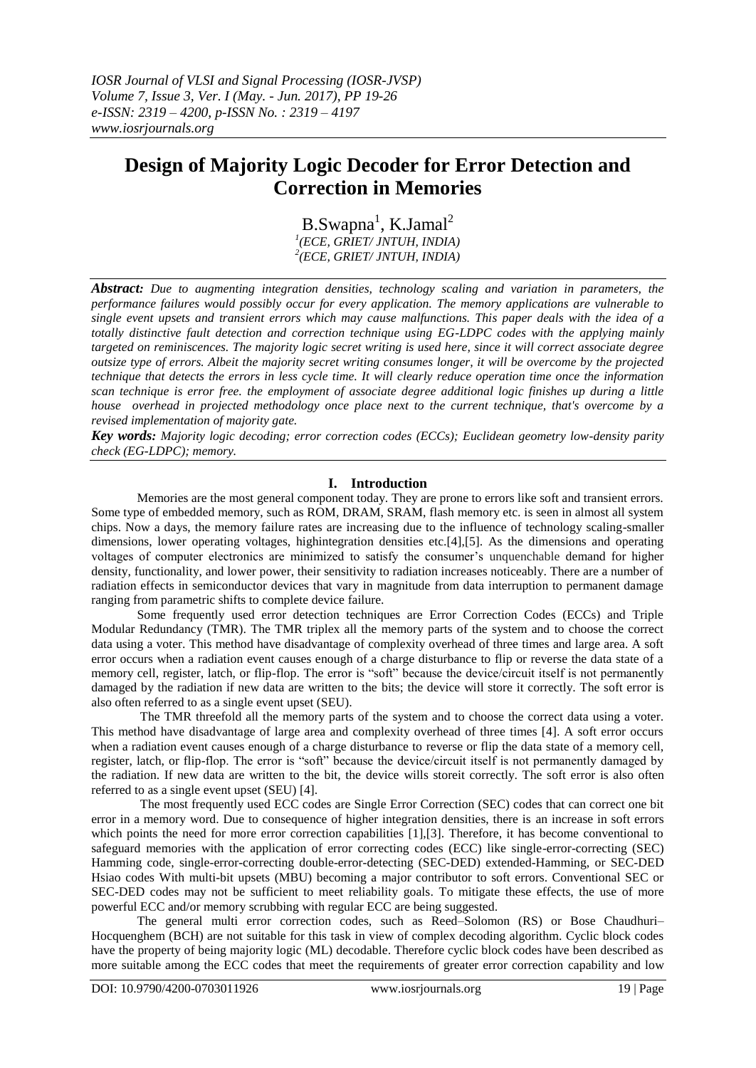*IOSR Journal of VLSI and Signal Processing (IOSR-JVSP) Volume 7, Issue 3, Ver. I (May. - Jun. 2017), PP 19-26 e-ISSN: 2319 – 4200, p-ISSN No. : 2319 – 4197 www.iosrjournals.org*

# **Design of Majority Logic Decoder for Error Detection and Correction in Memories**

B.Swapna<sup>1</sup>, K.Jamal<sup>2</sup> *1 (ECE, GRIET/ JNTUH, INDIA) 2 (ECE, GRIET/ JNTUH, INDIA)*

*Abstract: Due to augmenting integration densities, technology scaling and variation in parameters, the performance failures would possibly occur for every application. The memory applications are vulnerable to single event upsets and transient errors which may cause malfunctions. This paper deals with the idea of a totally distinctive fault detection and correction technique using EG-LDPC codes with the applying mainly targeted on reminiscences. The majority logic secret writing is used here, since it will correct associate degree outsize type of errors. Albeit the majority secret writing consumes longer, it will be overcome by the projected technique that detects the errors in less cycle time. It will clearly reduce operation time once the information scan technique is error free. the employment of associate degree additional logic finishes up during a little house overhead in projected methodology once place next to the current technique, that's overcome by a revised implementation of majority gate.*

*Key words: Majority logic decoding; error correction codes (ECCs); Euclidean geometry low-density parity check (EG-LDPC); memory.*

#### **I. Introduction**

Memories are the most general component today. They are prone to errors like soft and transient errors. Some type of embedded memory, such as ROM, DRAM, SRAM, flash memory etc. is seen in almost all system chips. Now a days, the memory failure rates are increasing due to the influence of technology scaling-smaller dimensions, lower operating voltages, highintegration densities etc.[4],[5]. As the dimensions and operating voltages of computer electronics are minimized to satisfy the consumer's unquenchable demand for higher density, functionality, and lower power, their sensitivity to radiation increases noticeably. There are a number of radiation effects in semiconductor devices that vary in magnitude from data interruption to permanent damage ranging from parametric shifts to complete device failure.

Some frequently used error detection techniques are Error Correction Codes (ECCs) and Triple Modular Redundancy (TMR). The TMR triplex all the memory parts of the system and to choose the correct data using a voter. This method have disadvantage of complexity overhead of three times and large area. A soft error occurs when a radiation event causes enough of a charge disturbance to flip or reverse the data state of a memory cell, register, latch, or flip-flop. The error is "soft" because the device/circuit itself is not permanently damaged by the radiation if new data are written to the bits; the device will store it correctly. The soft error is also often referred to as a single event upset (SEU).

The TMR threefold all the memory parts of the system and to choose the correct data using a voter. This method have disadvantage of large area and complexity overhead of three times [4]. A soft error occurs when a radiation event causes enough of a charge disturbance to reverse or flip the data state of a memory cell, register, latch, or flip-flop. The error is "soft" because the device/circuit itself is not permanently damaged by the radiation. If new data are written to the bit, the device wills storeit correctly. The soft error is also often referred to as a single event upset (SEU) [4].

The most frequently used ECC codes are Single Error Correction (SEC) codes that can correct one bit error in a memory word. Due to consequence of higher integration densities, there is an increase in soft errors which points the need for more error correction capabilities [1],[3]. Therefore, it has become conventional to safeguard memories with the application of error correcting codes (ECC) like single-error-correcting (SEC) Hamming code, single-error-correcting double-error-detecting (SEC-DED) extended-Hamming, or SEC-DED Hsiao codes With multi-bit upsets (MBU) becoming a major contributor to soft errors. Conventional SEC or SEC-DED codes may not be sufficient to meet reliability goals. To mitigate these effects, the use of more powerful ECC and/or memory scrubbing with regular ECC are being suggested.

The general multi error correction codes, such as Reed–Solomon (RS) or Bose Chaudhuri– Hocquenghem (BCH) are not suitable for this task in view of complex decoding algorithm. Cyclic block codes have the property of being majority logic (ML) decodable. Therefore cyclic block codes have been described as more suitable among the ECC codes that meet the requirements of greater error correction capability and low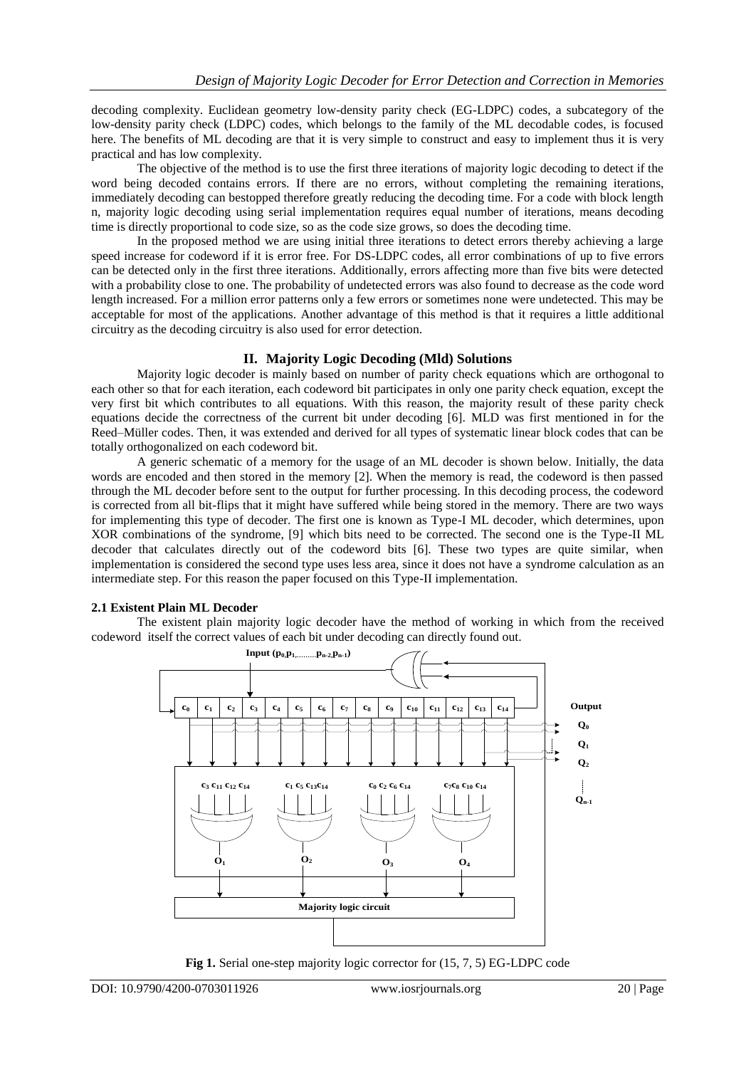decoding complexity. Euclidean geometry low-density parity check (EG-LDPC) codes, a subcategory of the low-density parity check (LDPC) codes, which belongs to the family of the ML decodable codes, is focused here. The benefits of ML decoding are that it is very simple to construct and easy to implement thus it is very practical and has low complexity.

The objective of the method is to use the first three iterations of majority logic decoding to detect if the word being decoded contains errors. If there are no errors, without completing the remaining iterations, immediately decoding can bestopped therefore greatly reducing the decoding time. For a code with block length n, majority logic decoding using serial implementation requires equal number of iterations, means decoding time is directly proportional to code size, so as the code size grows, so does the decoding time.

In the proposed method we are using initial three iterations to detect errors thereby achieving a large speed increase for codeword if it is error free. For DS-LDPC codes, all error combinations of up to five errors can be detected only in the first three iterations. Additionally, errors affecting more than five bits were detected with a probability close to one. The probability of undetected errors was also found to decrease as the code word length increased. For a million error patterns only a few errors or sometimes none were undetected. This may be acceptable for most of the applications. Another advantage of this method is that it requires a little additional circuitry as the decoding circuitry is also used for error detection.

#### **II. Majority Logic Decoding (Mld) Solutions**

Majority logic decoder is mainly based on number of parity check equations which are orthogonal to each other so that for each iteration, each codeword bit participates in only one parity check equation, except the very first bit which contributes to all equations. With this reason, the majority result of these parity check equations decide the correctness of the current bit under decoding [6]. MLD was first mentioned in for the Reed–Müller codes. Then, it was extended and derived for all types of systematic linear block codes that can be totally orthogonalized on each codeword bit.

A generic schematic of a memory for the usage of an ML decoder is shown below. Initially, the data words are encoded and then stored in the memory [2]. When the memory is read, the codeword is then passed through the ML decoder before sent to the output for further processing. In this decoding process, the codeword is corrected from all bit-flips that it might have suffered while being stored in the memory. There are two ways for implementing this type of decoder. The first one is known as Type-I ML decoder, which determines, upon XOR combinations of the syndrome, [9] which bits need to be corrected. The second one is the Type-II ML decoder that calculates directly out of the codeword bits [6]. These two types are quite similar, when implementation is considered the second type uses less area, since it does not have a syndrome calculation as an intermediate step. For this reason the paper focused on this Type-II implementation.

#### **2.1 Existent Plain ML Decoder**

The existent plain majority logic decoder have the method of working in which from the received codeword itself the correct values of each bit under decoding can directly found out.



**Fig 1.** Serial one-step majority logic corrector for (15, 7, 5) EG-LDPC code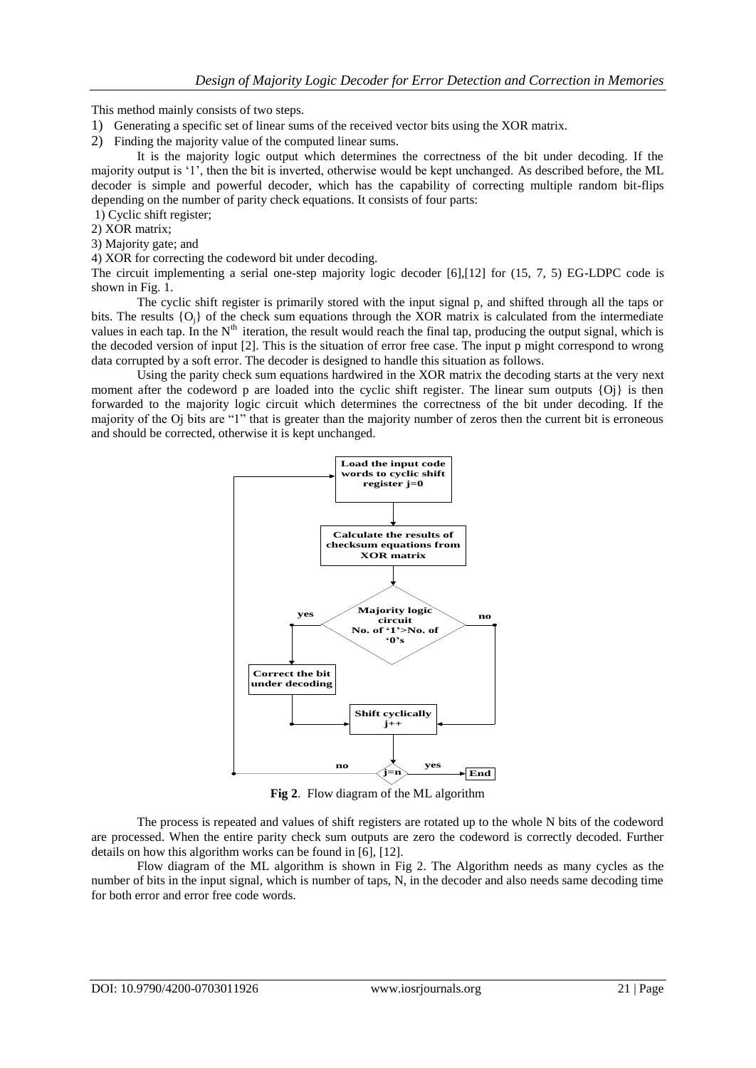This method mainly consists of two steps.

- 1) Generating a specific set of linear sums of the received vector bits using the XOR matrix.
- 2) Finding the majority value of the computed linear sums.

It is the majority logic output which determines the correctness of the bit under decoding. If the majority output is '1', then the bit is inverted, otherwise would be kept unchanged. As described before, the ML decoder is simple and powerful decoder, which has the capability of correcting multiple random bit-flips depending on the number of parity check equations. It consists of four parts:

- 1) Cyclic shift register;
- 2) XOR matrix;
- 3) Majority gate; and

4) XOR for correcting the codeword bit under decoding.

The circuit implementing a serial one-step majority logic decoder [6],[12] for (15, 7, 5) EG-LDPC code is shown in Fig. 1.

The cyclic shift register is primarily stored with the input signal p, and shifted through all the taps or bits. The results {Oj} of the check sum equations through the XOR matrix is calculated from the intermediate values in each tap. In the  $N<sup>th</sup>$  iteration, the result would reach the final tap, producing the output signal, which is the decoded version of input [2]. This is the situation of error free case. The input p might correspond to wrong data corrupted by a soft error. The decoder is designed to handle this situation as follows.

Using the parity check sum equations hardwired in the XOR matrix the decoding starts at the very next moment after the codeword p are loaded into the cyclic shift register. The linear sum outputs {Oj} is then forwarded to the majority logic circuit which determines the correctness of the bit under decoding. If the majority of the Oj bits are "1" that is greater than the majority number of zeros then the current bit is erroneous and should be corrected, otherwise it is kept unchanged.



**Fig 2**. Flow diagram of the ML algorithm

The process is repeated and values of shift registers are rotated up to the whole N bits of the codeword are processed. When the entire parity check sum outputs are zero the codeword is correctly decoded. Further details on how this algorithm works can be found in [6], [12].

Flow diagram of the ML algorithm is shown in Fig 2. The Algorithm needs as many cycles as the number of bits in the input signal, which is number of taps, N, in the decoder and also needs same decoding time for both error and error free code words.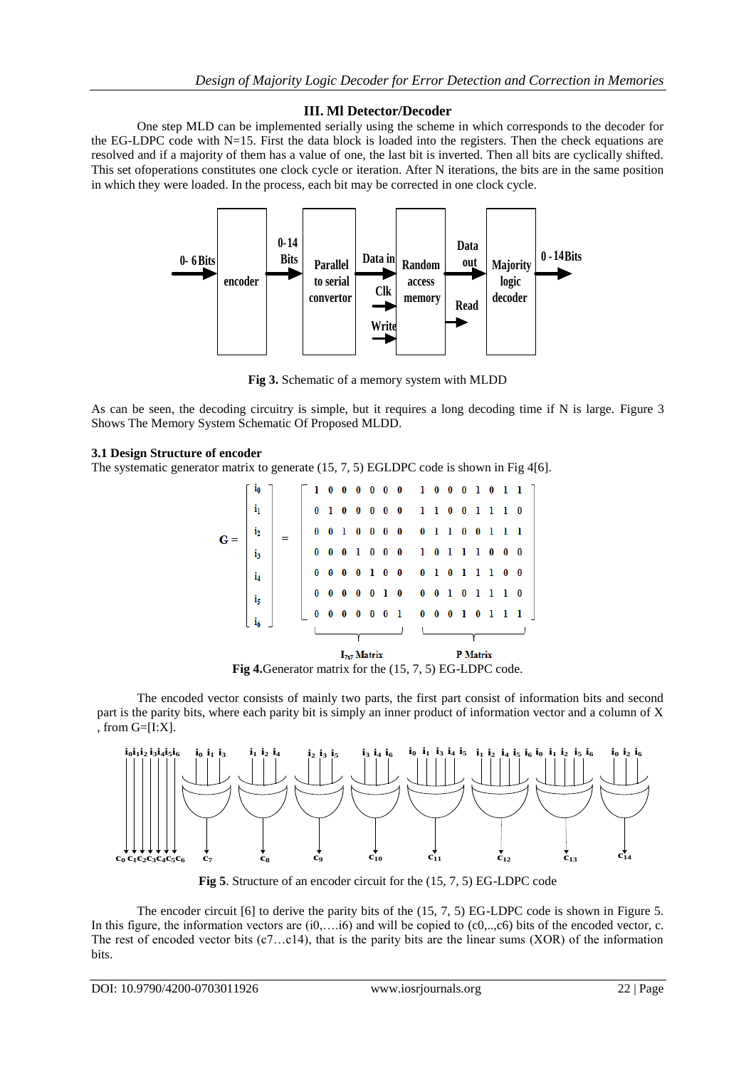## **III. Ml Detector/Decoder**

One step MLD can be implemented serially using the scheme in which corresponds to the decoder for the EG-LDPC code with N=15. First the data block is loaded into the registers. Then the check equations are resolved and if a majority of them has a value of one, the last bit is inverted. Then all bits are cyclically shifted. This set ofoperations constitutes one clock cycle or iteration. After N iterations, the bits are in the same position in which they were loaded. In the process, each bit may be corrected in one clock cycle.



**Fig 3.** Schematic of a memory system with MLDD

As can be seen, the decoding circuitry is simple, but it requires a long decoding time if N is large. Figure 3 Shows The Memory System Schematic Of Proposed MLDD.

#### **3.1 Design Structure of encoder**

The systematic generator matrix to generate (15, 7, 5) EGLDPC code is shown in Fig 4[6].

|     |                |          |             |                 | $I_{7x7}$ Matrix |            |              |          |                   | P Matrix        |       |                |       |              |                |  |  |  |
|-----|----------------|----------|-------------|-----------------|------------------|------------|--------------|----------|-------------------|-----------------|-------|----------------|-------|--------------|----------------|--|--|--|
|     |                |          |             |                 |                  |            |              |          |                   |                 |       |                |       |              |                |  |  |  |
|     | i <sub>6</sub> | 0        | $\bf{0}$    | $\bf{0}$        | $\bf{0}$         | $0\quad 0$ |              | - 1      | $0\quad 0\quad 0$ |                 |       | $1\quad 0$     |       | $\mathbf{1}$ | -1-1           |  |  |  |
|     | i <sub>5</sub> | $\bf{0}$ | 0           | $\bf{0}$        | $\bf{0}$         | $\bf{0}$   | $\mathbf{1}$ | $\bf{0}$ |                   | $0 \t 0 \t 1$   |       | 0 <sub>1</sub> |       | -1           | $1\quad 0$     |  |  |  |
|     | i4             | $\bf{0}$ | $\bf{0}$    | $\bf{0}$        | $\bf{0}$         | 10         |              | $\bf{0}$ | $\bf{0}$          | $1\quad0$       |       | - 1            | - 1   | -1           | $\mathbf{0}$ 0 |  |  |  |
| G : | i3             | $\bf{0}$ | 0           | $\bf{0}$        | -1               | $\bf{0}$   | $\bf{0}$     | $\bf{0}$ |                   | $1 \t0 \t1$     |       |                | 1 1 0 |              | $0\quad 0$     |  |  |  |
|     | i <sub>2</sub> | $\bf{0}$ | $\bf{0}$    | -1              | $\bf{0}$         | $0\quad 0$ |              | $\bf{0}$ |                   |                 | 01100 |                |       | - 1          | -1-1           |  |  |  |
|     | $\mathbf{i}_1$ | $\bf{0}$ | ı           | $\bf{0}$        | $\bf{0}$         | $\bf{0}$   | $\mathbf{0}$ | $\bf{0}$ |                   | $1\quad1\quad0$ |       | $\bf{0}$       | -1    | -1           | $1\quad 0$     |  |  |  |
|     | i0             |          | $1 \quad 0$ | $0\ 0\ 0\ 0\ 0$ |                  |            |              |          | 1 0 0 0 1 0 1 1   |                 |       |                |       |              |                |  |  |  |

**Fig 4.**Generator matrix for the (15, 7, 5) EG-LDPC code.

The encoded vector consists of mainly two parts, the first part consist of information bits and second part is the parity bits, where each parity bit is simply an inner product of information vector and a column of X , from G=[I:X].



**Fig 5**. Structure of an encoder circuit for the (15, 7, 5) EG-LDPC code

The encoder circuit [6] to derive the parity bits of the (15, 7, 5) EG-LDPC code is shown in Figure 5. In this figure, the information vectors are  $(i0,....i6)$  and will be copied to  $(c0,....c6)$  bits of the encoded vector, c. The rest of encoded vector bits (c7…c14), that is the parity bits are the linear sums (XOR) of the information bits.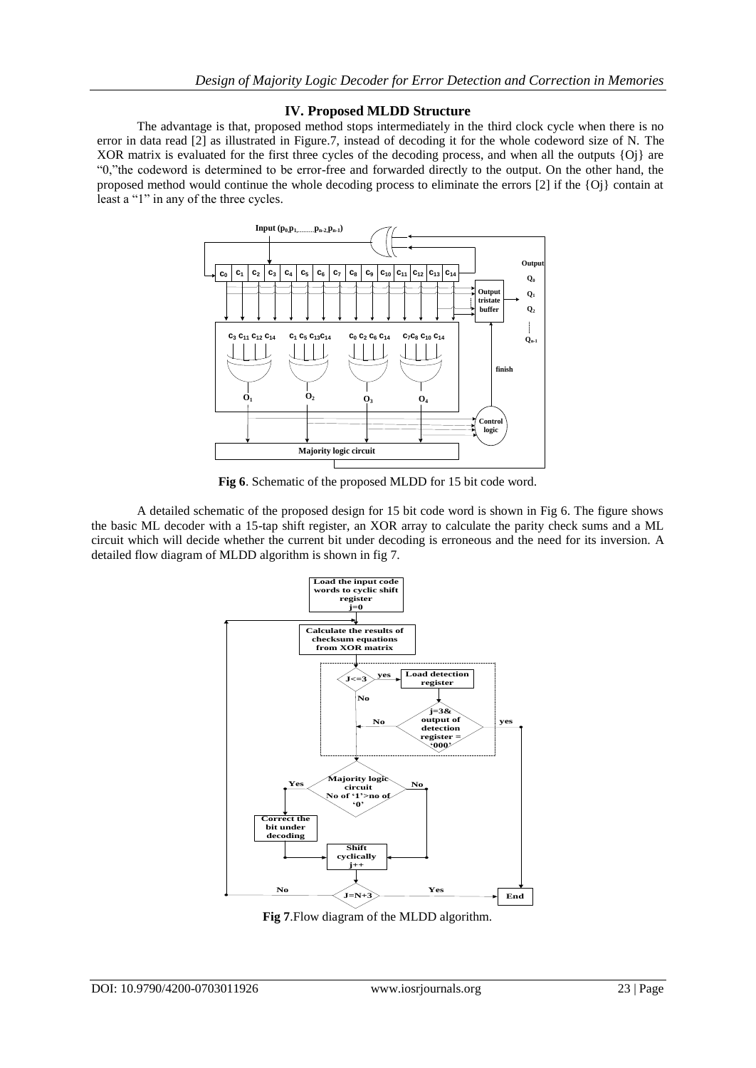#### **IV. Proposed MLDD Structure**

The advantage is that, proposed method stops intermediately in the third clock cycle when there is no error in data read [2] as illustrated in Figure.7, instead of decoding it for the whole codeword size of N. The XOR matrix is evaluated for the first three cycles of the decoding process, and when all the outputs {Oj} are "0,"the codeword is determined to be error-free and forwarded directly to the output. On the other hand, the proposed method would continue the whole decoding process to eliminate the errors [2] if the {Oj} contain at least a "1" in any of the three cycles.



**Fig 6**. Schematic of the proposed MLDD for 15 bit code word.

A detailed schematic of the proposed design for 15 bit code word is shown in Fig 6. The figure shows the basic ML decoder with a 15-tap shift register, an XOR array to calculate the parity check sums and a ML circuit which will decide whether the current bit under decoding is erroneous and the need for its inversion. A detailed flow diagram of MLDD algorithm is shown in fig 7.



**Fig 7**.Flow diagram of the MLDD algorithm.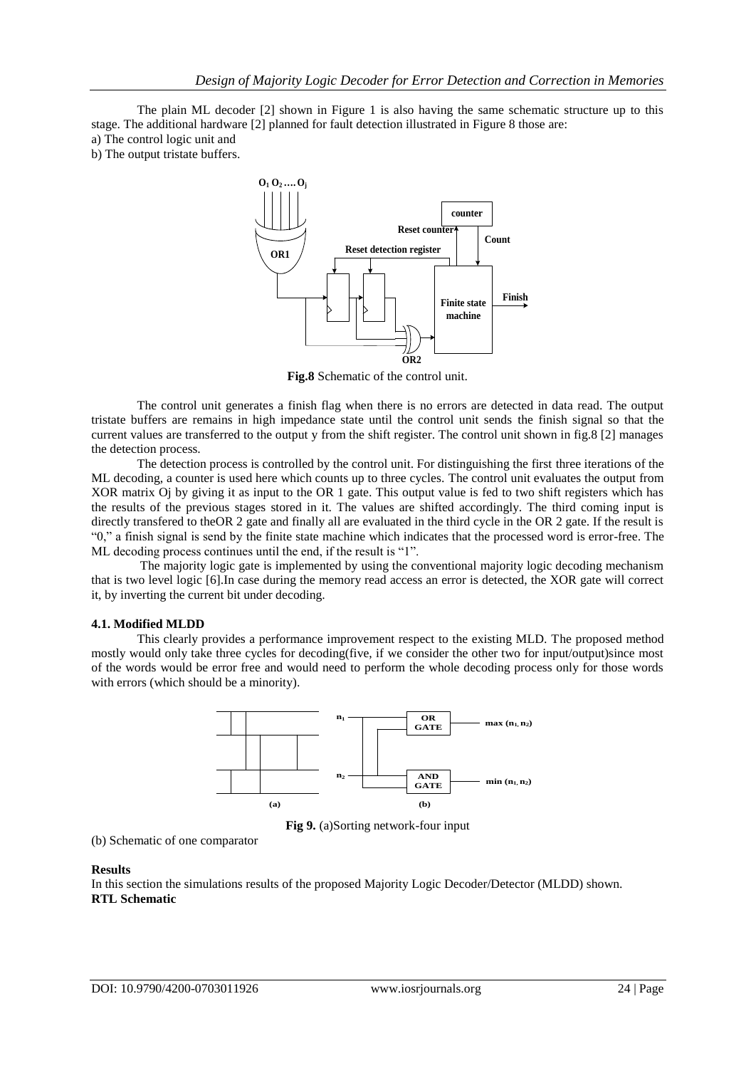The plain ML decoder [2] shown in Figure 1 is also having the same schematic structure up to this stage. The additional hardware [2] planned for fault detection illustrated in Figure 8 those are:

a) The control logic unit and

b) The output tristate buffers.



**Fig.8** Schematic of the control unit.

The control unit generates a finish flag when there is no errors are detected in data read. The output tristate buffers are remains in high impedance state until the control unit sends the finish signal so that the current values are transferred to the output y from the shift register. The control unit shown in fig.8 [2] manages the detection process.

The detection process is controlled by the control unit. For distinguishing the first three iterations of the ML decoding, a counter is used here which counts up to three cycles. The control unit evaluates the output from XOR matrix Oj by giving it as input to the OR 1 gate. This output value is fed to two shift registers which has the results of the previous stages stored in it. The values are shifted accordingly. The third coming input is directly transfered to theOR 2 gate and finally all are evaluated in the third cycle in the OR 2 gate. If the result is "0," a finish signal is send by the finite state machine which indicates that the processed word is error-free. The ML decoding process continues until the end, if the result is "1".

The majority logic gate is implemented by using the conventional majority logic decoding mechanism that is two level logic [6].In case during the memory read access an error is detected, the XOR gate will correct it, by inverting the current bit under decoding.

#### **4.1. Modified MLDD**

This clearly provides a performance improvement respect to the existing MLD. The proposed method mostly would only take three cycles for decoding(five, if we consider the other two for input/output)since most of the words would be error free and would need to perform the whole decoding process only for those words with errors (which should be a minority).



**Fig 9.** (a)Sorting network-four input

```
(b) Schematic of one comparator
```
#### **Results**

In this section the simulations results of the proposed Majority Logic Decoder/Detector (MLDD) shown. **RTL Schematic**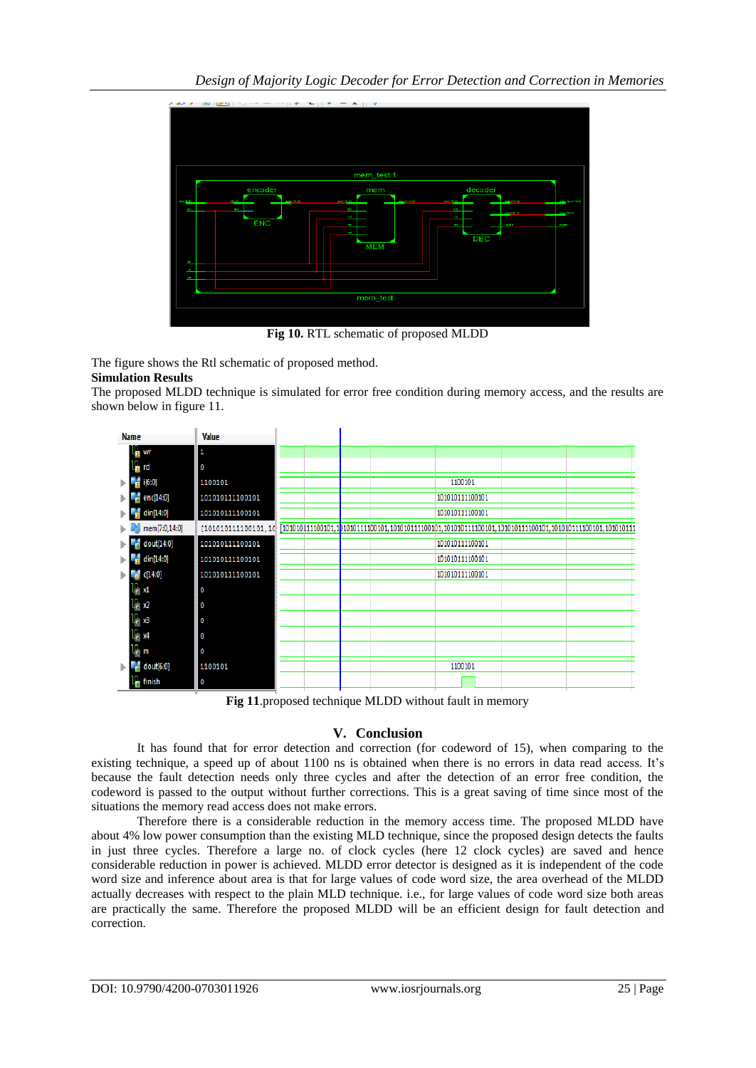

**Fig 10.** RTL schematic of proposed MLDD

The figure shows the Rtl schematic of proposed method.

## **Simulation Results**

The proposed MLDD technique is simulated for error free condition during memory access, and the results are shown below in figure 11.



**Fig 11**.proposed technique MLDD without fault in memory

## **V. Conclusion**

It has found that for error detection and correction (for codeword of 15), when comparing to the existing technique, a speed up of about 1100 ns is obtained when there is no errors in data read access. It's because the fault detection needs only three cycles and after the detection of an error free condition, the codeword is passed to the output without further corrections. This is a great saving of time since most of the situations the memory read access does not make errors.

Therefore there is a considerable reduction in the memory access time. The proposed MLDD have about 4% low power consumption than the existing MLD technique, since the proposed design detects the faults in just three cycles. Therefore a large no. of clock cycles (here 12 clock cycles) are saved and hence considerable reduction in power is achieved. MLDD error detector is designed as it is independent of the code word size and inference about area is that for large values of code word size, the area overhead of the MLDD actually decreases with respect to the plain MLD technique. i.e., for large values of code word size both areas are practically the same. Therefore the proposed MLDD will be an efficient design for fault detection and correction.